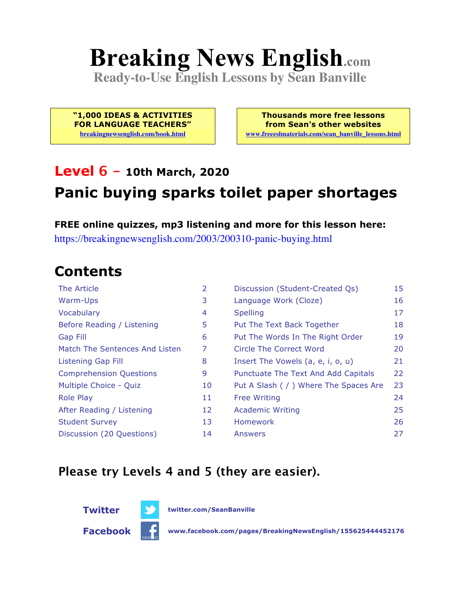# **Breaking News English.com**

**Ready-to-Use English Lessons by Sean Banville**

**"1,000 IDEAS & ACTIVITIES FOR LANGUAGE TEACHERS" breakingnewsenglish.com/book.html**

**Thousands more free lessons from Sean's other websites www.freeeslmaterials.com/sean\_banville\_lessons.html**

### **Level 6 - 10th March, 2020**

### **Panic buying sparks toilet paper shortages**

**FREE online quizzes, mp3 listening and more for this lesson here:** https://breakingnewsenglish.com/2003/200310-panic-buying.html

### **Contents**

| The Article                    | 2  | Discussion (Student-Created Qs)        | 15 |
|--------------------------------|----|----------------------------------------|----|
| Warm-Ups                       | 3  | Language Work (Cloze)                  | 16 |
| Vocabulary                     | 4  | <b>Spelling</b>                        | 17 |
| Before Reading / Listening     | 5  | Put The Text Back Together             | 18 |
| <b>Gap Fill</b>                | 6  | Put The Words In The Right Order       | 19 |
| Match The Sentences And Listen | 7  | Circle The Correct Word                | 20 |
| Listening Gap Fill             | 8  | Insert The Vowels (a, e, i, o, u)      | 21 |
| <b>Comprehension Questions</b> | 9  | Punctuate The Text And Add Capitals    | 22 |
| Multiple Choice - Quiz         | 10 | Put A Slash ( / ) Where The Spaces Are | 23 |
| <b>Role Play</b>               | 11 | <b>Free Writing</b>                    | 24 |
| After Reading / Listening      | 12 | <b>Academic Writing</b>                | 25 |
| <b>Student Survey</b>          | 13 | <b>Homework</b>                        | 26 |
| Discussion (20 Questions)      | 14 | Answers                                | 27 |

#### **Please try Levels 4 and 5 (they are easier).**



**Facebook www.facebook.com/pages/BreakingNewsEnglish/155625444452176**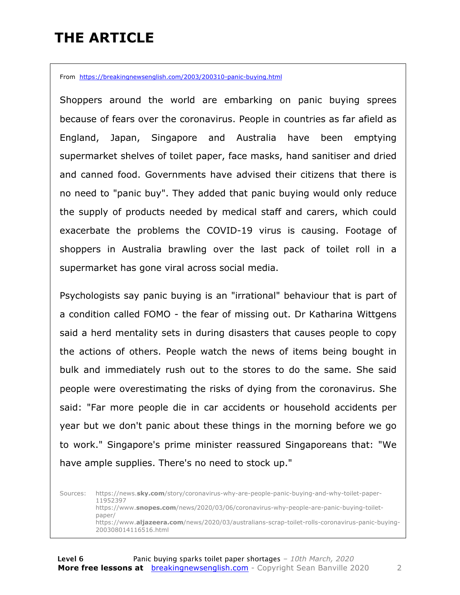### **THE ARTICLE**

From https://breakingnewsenglish.com/2003/200310-panic-buying.html

Shoppers around the world are embarking on panic buying sprees because of fears over the coronavirus. People in countries as far afield as England, Japan, Singapore and Australia have been emptying supermarket shelves of toilet paper, face masks, hand sanitiser and dried and canned food. Governments have advised their citizens that there is no need to "panic buy". They added that panic buying would only reduce the supply of products needed by medical staff and carers, which could exacerbate the problems the COVID-19 virus is causing. Footage of shoppers in Australia brawling over the last pack of toilet roll in a supermarket has gone viral across social media.

Psychologists say panic buying is an "irrational" behaviour that is part of a condition called FOMO - the fear of missing out. Dr Katharina Wittgens said a herd mentality sets in during disasters that causes people to copy the actions of others. People watch the news of items being bought in bulk and immediately rush out to the stores to do the same. She said people were overestimating the risks of dying from the coronavirus. She said: "Far more people die in car accidents or household accidents per year but we don't panic about these things in the morning before we go to work." Singapore's prime minister reassured Singaporeans that: "We have ample supplies. There's no need to stock up."

Sources: https://news.**sky.com**/story/coronavirus-why-are-people-panic-buying-and-why-toilet-paper-11952397 https://www.**snopes.com**/news/2020/03/06/coronavirus-why-people-are-panic-buying-toiletpaper/ https://www.**aljazeera.com**/news/2020/03/australians-scrap-toilet-rolls-coronavirus-panic-buying-200308014116516.html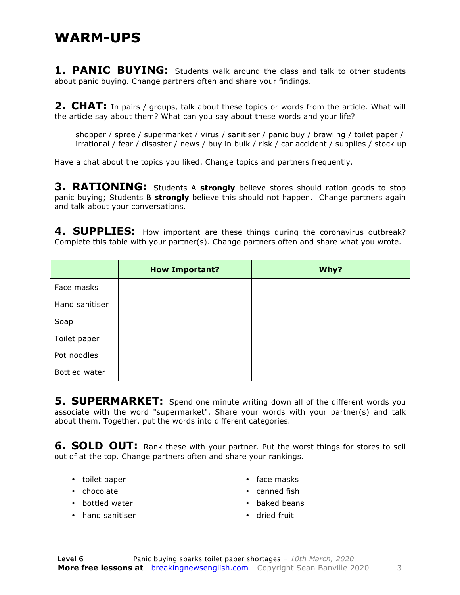#### **WARM-UPS**

**1. PANIC BUYING:** Students walk around the class and talk to other students about panic buying. Change partners often and share your findings.

**2. CHAT:** In pairs / groups, talk about these topics or words from the article. What will the article say about them? What can you say about these words and your life?

shopper / spree / supermarket / virus / sanitiser / panic buy / brawling / toilet paper / irrational / fear / disaster / news / buy in bulk / risk / car accident / supplies / stock up

Have a chat about the topics you liked. Change topics and partners frequently.

**3. RATIONING:** Students A **strongly** believe stores should ration goods to stop panic buying; Students B **strongly** believe this should not happen. Change partners again and talk about your conversations.

4. SUPPLIES: How important are these things during the coronavirus outbreak? Complete this table with your partner(s). Change partners often and share what you wrote.

|                | <b>How Important?</b> | Why? |
|----------------|-----------------------|------|
| Face masks     |                       |      |
| Hand sanitiser |                       |      |
| Soap           |                       |      |
| Toilet paper   |                       |      |
| Pot noodles    |                       |      |
| Bottled water  |                       |      |

**5. SUPERMARKET:** Spend one minute writing down all of the different words you associate with the word "supermarket". Share your words with your partner(s) and talk about them. Together, put the words into different categories.

**6. SOLD OUT:** Rank these with your partner. Put the worst things for stores to sell out of at the top. Change partners often and share your rankings.

- toilet paper
- chocolate
- bottled water
- hand sanitiser
- face masks
- canned fish
- baked beans
- dried fruit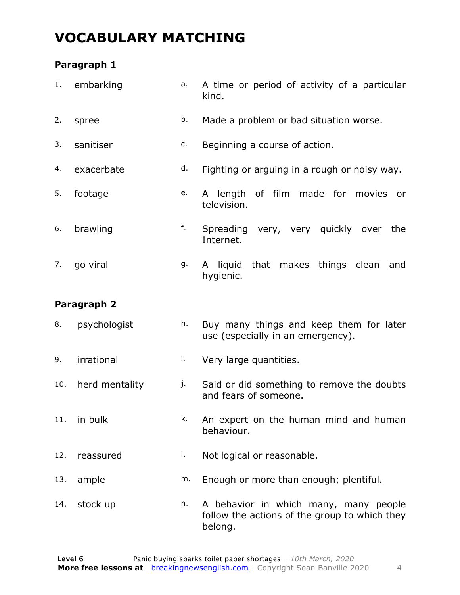### **VOCABULARY MATCHING**

#### **Paragraph 1**

|     | 1. embarking   | a. | A time or period of activity of a particular<br>kind.                                             |  |  |
|-----|----------------|----|---------------------------------------------------------------------------------------------------|--|--|
| 2.  | spree          | b. | Made a problem or bad situation worse.                                                            |  |  |
| 3.  | sanitiser      | c. | Beginning a course of action.                                                                     |  |  |
| 4.  | exacerbate     | d. | Fighting or arguing in a rough or noisy way.                                                      |  |  |
| 5.  | footage        | e. | A length of film made for movies<br>or<br>television.                                             |  |  |
| 6.  | brawling       | f. | Spreading very, very quickly over<br>the<br>Internet.                                             |  |  |
| 7.  | go viral       | g. | A liquid that makes things clean<br>and<br>hygienic.                                              |  |  |
|     | Paragraph 2    |    |                                                                                                   |  |  |
| 8.  | psychologist   | h. | Buy many things and keep them for later<br>use (especially in an emergency).                      |  |  |
| 9.  | irrational     | i. | Very large quantities.                                                                            |  |  |
| 10. | herd mentality | j. | Said or did something to remove the doubts<br>and fears of someone.                               |  |  |
| 11. | in bulk        | k. | An expert on the human mind and human<br>behaviour.                                               |  |  |
| 12. | reassured      | I. | Not logical or reasonable.                                                                        |  |  |
| 13. | ample          | m. | Enough or more than enough; plentiful.                                                            |  |  |
| 14. | stock up       | n. | A behavior in which many, many people<br>follow the actions of the group to which they<br>belong. |  |  |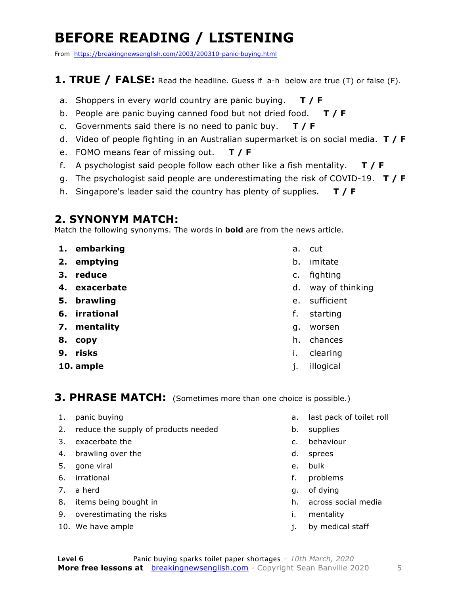### **BEFORE READING / LISTENING**

From https://breakingnewsenglish.com/2003/200310-panic-buying.html

#### **1. TRUE / FALSE:** Read the headline. Guess if a-h below are true (T) or false (F).

- a. Shoppers in every world country are panic buying. **T / F**
- b. People are panic buying canned food but not dried food. **T / F**
- c. Governments said there is no need to panic buy. **T / F**
- d. Video of people fighting in an Australian supermarket is on social media. **T / F**
- e. FOMO means fear of missing out. **T / F**
- f. A psychologist said people follow each other like a fish mentality. **T / F**
- g. The psychologist said people are underestimating the risk of COVID-19. **T / F**
- h. Singapore's leader said the country has plenty of supplies. **T / F**

#### **2. SYNONYM MATCH:**

Match the following synonyms. The words in **bold** are from the news article.

- **1. embarking**
- **2. emptying**
- **3. reduce**
- **4. exacerbate**
- **5. brawling**
- **6. irrational**
- **7. mentality**
- **8. copy**
- **9. risks**
- **10. ample**
- a. cut
- b. imitate
- c. fighting
- d. way of thinking
- e. sufficient
- f. starting
- g. worsen
- h. chances
- i. clearing
- j. illogical

#### **3. PHRASE MATCH:** (Sometimes more than one choice is possible.)

- 1. panic buying
- 2. reduce the supply of products needed
- 3. exacerbate the
- 4. brawling over the
- 5. gone viral
- 6. irrational
- 7. a herd
- 8. items being bought in
- 9. overestimating the risks
- 10. We have ample
- a. last pack of toilet roll
- b. supplies
- c. behaviour
- d. sprees
- e. bulk
- f. problems
- g. of dying
- h. across social media
- i. mentality
- j. by medical staff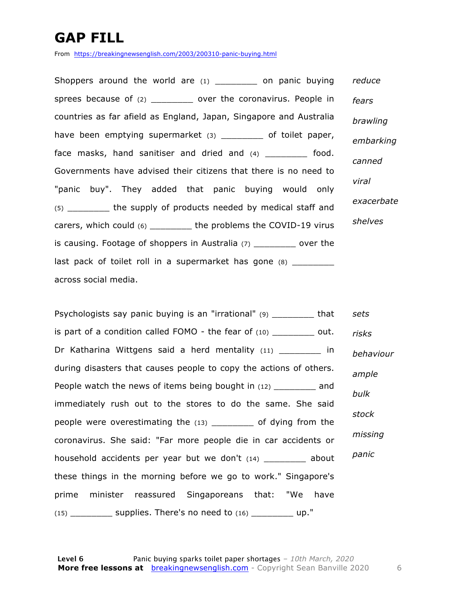### **GAP FILL**

From https://breakingnewsenglish.com/2003/200310-panic-buying.html

Shoppers around the world are (1) \_\_\_\_\_\_\_\_\_ on panic buying sprees because of (2) \_\_\_\_\_\_\_\_\_\_ over the coronavirus. People in countries as far afield as England, Japan, Singapore and Australia have been emptying supermarket (3) \_\_\_\_\_\_\_\_ of toilet paper, face masks, hand sanitiser and dried and (4) food. Governments have advised their citizens that there is no need to "panic buy". They added that panic buying would only (5) the supply of products needed by medical staff and carers, which could (6) \_\_\_\_\_\_\_\_ the problems the COVID-19 virus is causing. Footage of shoppers in Australia (7) \_\_\_\_\_\_\_\_ over the last pack of toilet roll in a supermarket has gone (8) across social media. *reduce fears brawling embarking canned viral exacerbate shelves*

Psychologists say panic buying is an "irrational" (9) \_\_\_\_\_\_\_\_ that is part of a condition called FOMO - the fear of  $(10)$  out. Dr Katharina Wittgens said a herd mentality (11) \_\_\_\_\_\_\_ in during disasters that causes people to copy the actions of others. People watch the news of items being bought in (12) and immediately rush out to the stores to do the same. She said people were overestimating the (13) \_\_\_\_\_\_\_\_ of dying from the coronavirus. She said: "Far more people die in car accidents or household accidents per year but we don't (14) \_\_\_\_\_\_\_\_ about these things in the morning before we go to work." Singapore's prime minister reassured Singaporeans that: "We have  $(15)$  supplies. There's no need to  $(16)$  up." *sets risks behaviour ample bulk stock missing panic*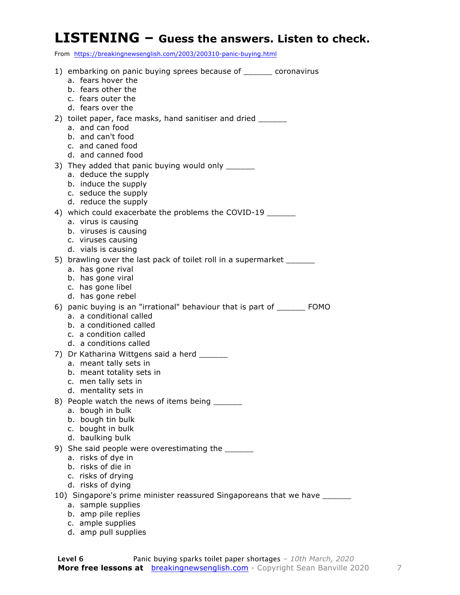#### **LISTENING – Guess the answers. Listen to check.**

From https://breakingnewsenglish.com/2003/200310-panic-buying.html

| a. fears hover the<br>b. fears other the<br>c. fears outer the<br>d. fears over the<br>2) toilet paper, face masks, hand sanitiser and dried _______<br>a. and can food<br>b. and can't food<br>c. and caned food<br>d. and canned food<br>3) They added that panic buying would only ______<br>a. deduce the supply<br>b. induce the supply<br>c. seduce the supply<br>d. reduce the supply<br>4) which could exacerbate the problems the COVID-19 |
|-----------------------------------------------------------------------------------------------------------------------------------------------------------------------------------------------------------------------------------------------------------------------------------------------------------------------------------------------------------------------------------------------------------------------------------------------------|
|                                                                                                                                                                                                                                                                                                                                                                                                                                                     |
|                                                                                                                                                                                                                                                                                                                                                                                                                                                     |
|                                                                                                                                                                                                                                                                                                                                                                                                                                                     |
|                                                                                                                                                                                                                                                                                                                                                                                                                                                     |
|                                                                                                                                                                                                                                                                                                                                                                                                                                                     |
|                                                                                                                                                                                                                                                                                                                                                                                                                                                     |
|                                                                                                                                                                                                                                                                                                                                                                                                                                                     |
|                                                                                                                                                                                                                                                                                                                                                                                                                                                     |
|                                                                                                                                                                                                                                                                                                                                                                                                                                                     |
|                                                                                                                                                                                                                                                                                                                                                                                                                                                     |
|                                                                                                                                                                                                                                                                                                                                                                                                                                                     |
|                                                                                                                                                                                                                                                                                                                                                                                                                                                     |
| a. virus is causing                                                                                                                                                                                                                                                                                                                                                                                                                                 |
| b. viruses is causing                                                                                                                                                                                                                                                                                                                                                                                                                               |
| c. viruses causing<br>d. vials is causing                                                                                                                                                                                                                                                                                                                                                                                                           |
| 5) brawling over the last pack of toilet roll in a supermarket _____                                                                                                                                                                                                                                                                                                                                                                                |
| a. has gone rival                                                                                                                                                                                                                                                                                                                                                                                                                                   |
| b. has gone viral                                                                                                                                                                                                                                                                                                                                                                                                                                   |
| c. has gone libel                                                                                                                                                                                                                                                                                                                                                                                                                                   |
| d. has gone rebel<br>6) panic buying is an "irrational" behaviour that is part of _______ FOMO                                                                                                                                                                                                                                                                                                                                                      |
| a. a conditional called                                                                                                                                                                                                                                                                                                                                                                                                                             |
| b. a conditioned called                                                                                                                                                                                                                                                                                                                                                                                                                             |
| c. a condition called                                                                                                                                                                                                                                                                                                                                                                                                                               |
| d. a conditions called                                                                                                                                                                                                                                                                                                                                                                                                                              |
| 7) Dr Katharina Wittgens said a herd ______<br>a. meant tally sets in                                                                                                                                                                                                                                                                                                                                                                               |
| b. meant totality sets in                                                                                                                                                                                                                                                                                                                                                                                                                           |
| c. men tally sets in                                                                                                                                                                                                                                                                                                                                                                                                                                |
| d. mentality sets in                                                                                                                                                                                                                                                                                                                                                                                                                                |
| 8) People watch the news of items being ______<br>a. bough in bulk                                                                                                                                                                                                                                                                                                                                                                                  |
| b. bough tin bulk                                                                                                                                                                                                                                                                                                                                                                                                                                   |
| c. bought in bulk                                                                                                                                                                                                                                                                                                                                                                                                                                   |
| d. baulking bulk                                                                                                                                                                                                                                                                                                                                                                                                                                    |
| 9) She said people were overestimating the<br>a. risks of dye in                                                                                                                                                                                                                                                                                                                                                                                    |
| b. risks of die in                                                                                                                                                                                                                                                                                                                                                                                                                                  |
| c. risks of drying                                                                                                                                                                                                                                                                                                                                                                                                                                  |
| d. risks of dying                                                                                                                                                                                                                                                                                                                                                                                                                                   |
| 10) Singapore's prime minister reassured Singaporeans that we have ______<br>a. sample supplies                                                                                                                                                                                                                                                                                                                                                     |
| b. amp pile replies                                                                                                                                                                                                                                                                                                                                                                                                                                 |

- c. ample supplies
- d. amp pull supplies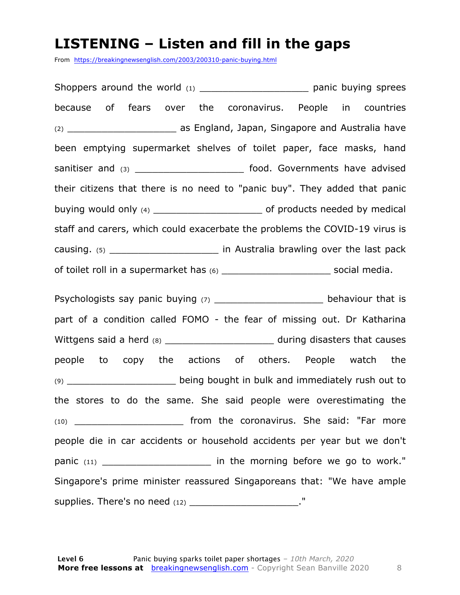#### **LISTENING – Listen and fill in the gaps**

From https://breakingnewsenglish.com/2003/200310-panic-buying.html

Shoppers around the world (1) \_\_\_\_\_\_\_\_\_\_\_\_\_\_\_\_\_\_\_\_\_\_\_\_ panic buying sprees because of fears over the coronavirus. People in countries (2) **Example 2** as England, Japan, Singapore and Australia have been emptying supermarket shelves of toilet paper, face masks, hand sanitiser and (3) \_\_\_\_\_\_\_\_\_\_\_\_\_\_\_\_\_\_\_\_\_\_\_\_\_\_\_\_ food. Governments have advised their citizens that there is no need to "panic buy". They added that panic buying would only (4) \_\_\_\_\_\_\_\_\_\_\_\_\_\_\_\_\_\_\_ of products needed by medical staff and carers, which could exacerbate the problems the COVID-19 virus is causing. (5) causing. (5) causing. (5) of toilet roll in a supermarket has (6) \_\_\_\_\_\_\_\_\_\_\_\_\_\_\_\_\_\_\_\_\_\_\_\_\_\_\_\_\_\_\_\_\_\_ social media. Psychologists say panic buying  $(7)$  example behaviour that is part of a condition called FOMO - the fear of missing out. Dr Katharina Wittgens said a herd (8) The same said a control of the state of the during disasters that causes people to copy the actions of others. People watch the (9) \_\_\_\_\_\_\_\_\_\_\_\_\_\_\_\_\_\_\_ being bought in bulk and immediately rush out to the stores to do the same. She said people were overestimating the (10) \_\_\_\_\_\_\_\_\_\_\_\_\_\_\_\_\_\_\_ from the coronavirus. She said: "Far more people die in car accidents or household accidents per year but we don't

panic (11) **panic** (11) **panic** (11) Singapore's prime minister reassured Singaporeans that: "We have ample supplies. There's no need  $(12)$  \_\_\_\_\_\_\_\_\_\_\_\_\_\_\_\_\_\_\_."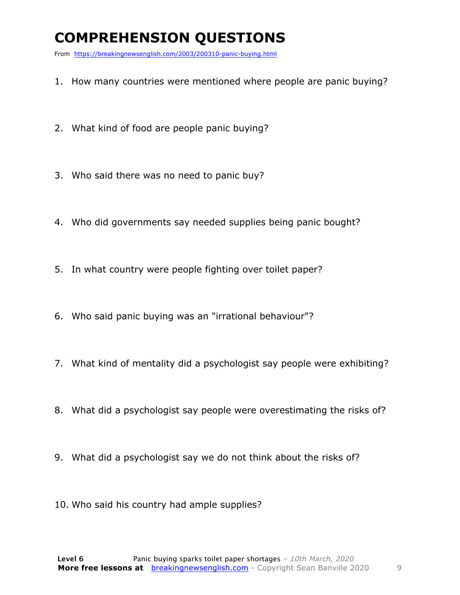### **COMPREHENSION QUESTIONS**

From https://breakingnewsenglish.com/2003/200310-panic-buying.html

- 1. How many countries were mentioned where people are panic buying?
- 2. What kind of food are people panic buying?
- 3. Who said there was no need to panic buy?
- 4. Who did governments say needed supplies being panic bought?
- 5. In what country were people fighting over toilet paper?
- 6. Who said panic buying was an "irrational behaviour"?
- 7. What kind of mentality did a psychologist say people were exhibiting?
- 8. What did a psychologist say people were overestimating the risks of?
- 9. What did a psychologist say we do not think about the risks of?
- 10. Who said his country had ample supplies?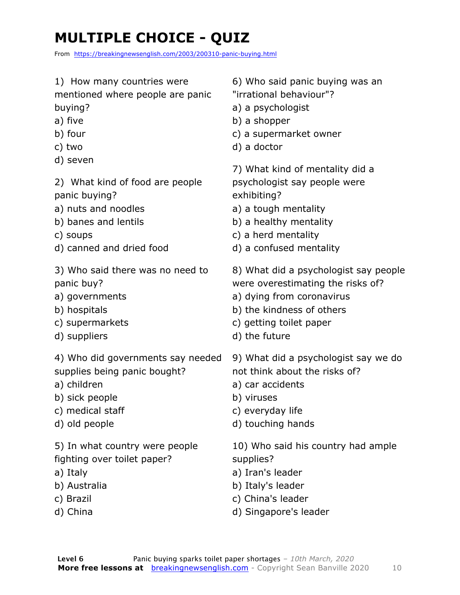## **MULTIPLE CHOICE - QUIZ**

From https://breakingnewsenglish.com/2003/200310-panic-buying.html

#### 1) How many countries were

mentioned where people are panic buying?

- a) five
- b) four
- c) two
- d) seven
- 2) What kind of food are people panic buying?
- a) nuts and noodles
- b) banes and lentils
- c) soups
- d) canned and dried food
- 3) Who said there was no need to panic buy?
- a) governments
- b) hospitals
- c) supermarkets
- d) suppliers

4) Who did governments say needed supplies being panic bought?

- a) children
- b) sick people
- c) medical staff
- d) old people

5) In what country were people fighting over toilet paper?

- a) Italy
- b) Australia
- c) Brazil
- d) China

6) Who said panic buying was an

- "irrational behaviour"?
- a) a psychologist
- b) a shopper
- c) a supermarket owner
- d) a doctor

7) What kind of mentality did a psychologist say people were exhibiting?

- a) a tough mentality
- b) a healthy mentality
- c) a herd mentality
- d) a confused mentality
- 8) What did a psychologist say people were overestimating the risks of?
- a) dying from coronavirus
- b) the kindness of others
- c) getting toilet paper
- d) the future

9) What did a psychologist say we do not think about the risks of?

- a) car accidents
- b) viruses
- c) everyday life
- d) touching hands

10) Who said his country had ample supplies?

- a) Iran's leader
- b) Italy's leader
- c) China's leader
- d) Singapore's leader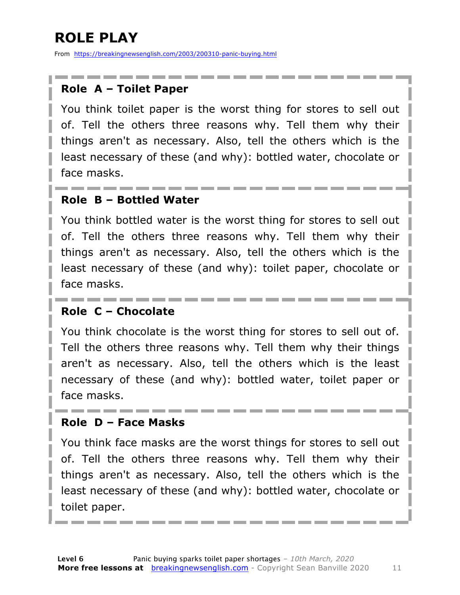### **ROLE PLAY**

From https://breakingnewsenglish.com/2003/200310-panic-buying.html

#### **Role A – Toilet Paper**

You think toilet paper is the worst thing for stores to sell out of. Tell the others three reasons why. Tell them why their things aren't as necessary. Also, tell the others which is the least necessary of these (and why): bottled water, chocolate or face masks.

#### **Role B – Bottled Water**

You think bottled water is the worst thing for stores to sell out of. Tell the others three reasons why. Tell them why their things aren't as necessary. Also, tell the others which is the least necessary of these (and why): toilet paper, chocolate or face masks.

#### **Role C – Chocolate**

You think chocolate is the worst thing for stores to sell out of. Tell the others three reasons why. Tell them why their things aren't as necessary. Also, tell the others which is the least necessary of these (and why): bottled water, toilet paper or face masks.

#### **Role D – Face Masks**

You think face masks are the worst things for stores to sell out of. Tell the others three reasons why. Tell them why their things aren't as necessary. Also, tell the others which is the least necessary of these (and why): bottled water, chocolate or toilet paper.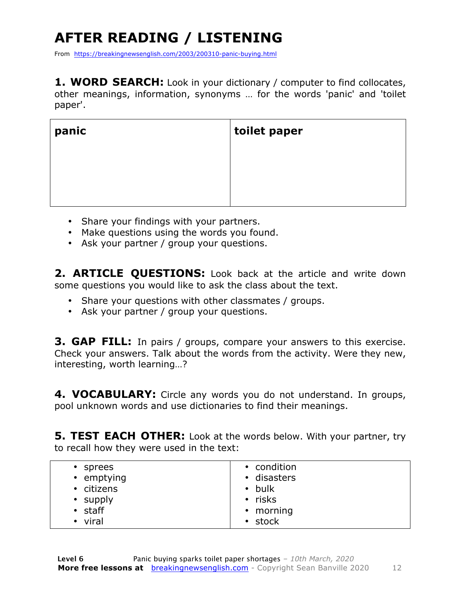## **AFTER READING / LISTENING**

From https://breakingnewsenglish.com/2003/200310-panic-buying.html

**1. WORD SEARCH:** Look in your dictionary / computer to find collocates, other meanings, information, synonyms … for the words 'panic' and 'toilet paper'.

| panic | toilet paper |
|-------|--------------|
|       |              |
|       |              |
|       |              |

- Share your findings with your partners.
- Make questions using the words you found.
- Ask your partner / group your questions.

**2. ARTICLE QUESTIONS:** Look back at the article and write down some questions you would like to ask the class about the text.

- Share your questions with other classmates / groups.
- Ask your partner / group your questions.

**3. GAP FILL:** In pairs / groups, compare your answers to this exercise. Check your answers. Talk about the words from the activity. Were they new, interesting, worth learning…?

**4. VOCABULARY:** Circle any words you do not understand. In groups, pool unknown words and use dictionaries to find their meanings.

**5. TEST EACH OTHER:** Look at the words below. With your partner, try to recall how they were used in the text:

| • stock |
|---------|
|---------|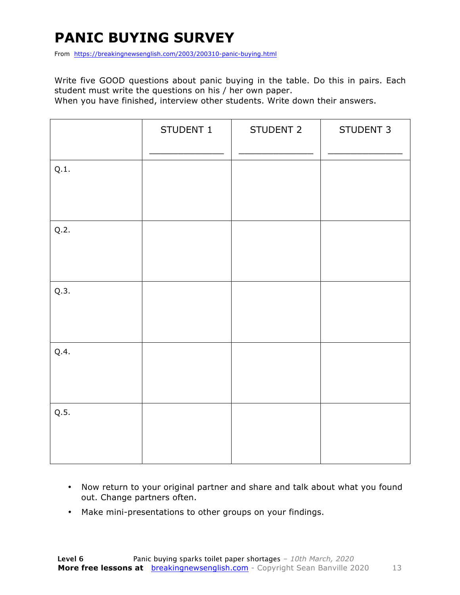### **PANIC BUYING SURVEY**

From https://breakingnewsenglish.com/2003/200310-panic-buying.html

Write five GOOD questions about panic buying in the table. Do this in pairs. Each student must write the questions on his / her own paper.

When you have finished, interview other students. Write down their answers.

|      | STUDENT 1 | STUDENT 2 | STUDENT 3 |
|------|-----------|-----------|-----------|
| Q.1. |           |           |           |
| Q.2. |           |           |           |
| Q.3. |           |           |           |
| Q.4. |           |           |           |
| Q.5. |           |           |           |

- Now return to your original partner and share and talk about what you found out. Change partners often.
- Make mini-presentations to other groups on your findings.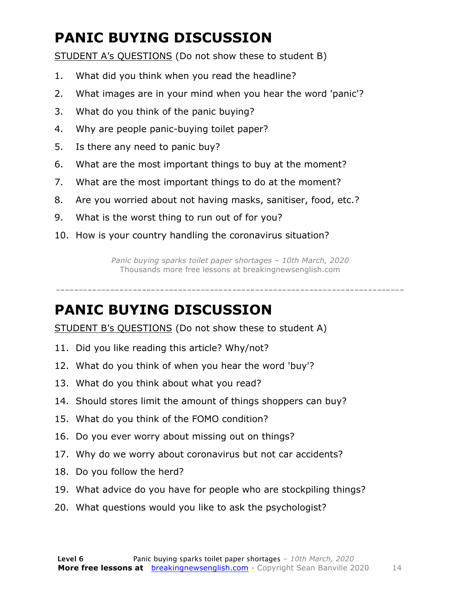### **PANIC BUYING DISCUSSION**

STUDENT A's QUESTIONS (Do not show these to student B)

- 1. What did you think when you read the headline?
- 2. What images are in your mind when you hear the word 'panic'?
- 3. What do you think of the panic buying?
- 4. Why are people panic-buying toilet paper?
- 5. Is there any need to panic buy?
- 6. What are the most important things to buy at the moment?
- 7. What are the most important things to do at the moment?
- 8. Are you worried about not having masks, sanitiser, food, etc.?
- 9. What is the worst thing to run out of for you?
- 10. How is your country handling the coronavirus situation?

*Panic buying sparks toilet paper shortages – 10th March, 2020* Thousands more free lessons at breakingnewsenglish.com

-----------------------------------------------------------------------------

#### **PANIC BUYING DISCUSSION**

STUDENT B's QUESTIONS (Do not show these to student A)

- 11. Did you like reading this article? Why/not?
- 12. What do you think of when you hear the word 'buy'?
- 13. What do you think about what you read?
- 14. Should stores limit the amount of things shoppers can buy?
- 15. What do you think of the FOMO condition?
- 16. Do you ever worry about missing out on things?
- 17. Why do we worry about coronavirus but not car accidents?
- 18. Do you follow the herd?
- 19. What advice do you have for people who are stockpiling things?
- 20. What questions would you like to ask the psychologist?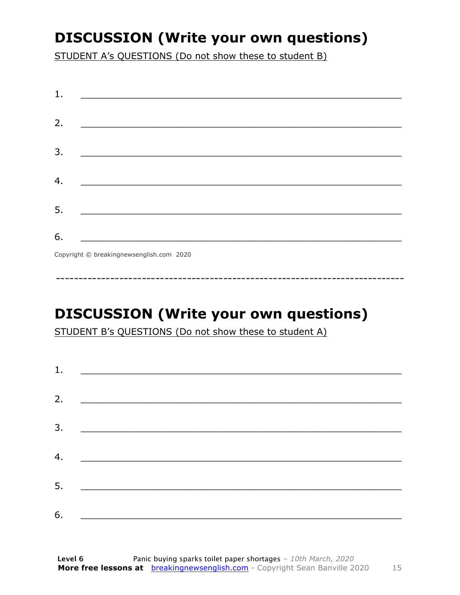### **DISCUSSION (Write your own questions)**

STUDENT A's QUESTIONS (Do not show these to student B)

| 1. |                                                                  |
|----|------------------------------------------------------------------|
|    |                                                                  |
| 2. |                                                                  |
|    |                                                                  |
| 3. |                                                                  |
|    |                                                                  |
| 4. | <u> 1980 - Jan James James Barnett, fransk politik (d. 1980)</u> |
|    |                                                                  |
| 5. |                                                                  |
|    |                                                                  |
| 6. |                                                                  |
|    | Copyright © breakingnewsenglish.com 2020                         |

### **DISCUSSION (Write your own questions)**

STUDENT B's QUESTIONS (Do not show these to student A)

| 1. |                                                                                                                         |  |
|----|-------------------------------------------------------------------------------------------------------------------------|--|
|    |                                                                                                                         |  |
| 2. | <u> 1980 - Andrea Stationer, fransk politiker (d. 1980)</u>                                                             |  |
| 3. |                                                                                                                         |  |
| 4. | <u> 1980 - Jan Barbara, martxa al II-lea (h. 1980).</u>                                                                 |  |
|    |                                                                                                                         |  |
| 5. | <u> 1986 - Johann Stoff, deutscher Stoffen und der Stoffen und der Stoffen und der Stoffen und der Stoffen und der </u> |  |
| 6. | <u> 1989 - Johann John Stone, market fan it ferskearre fan it ferskearre fan it ferskearre fan it ferskearre fan i</u>  |  |

15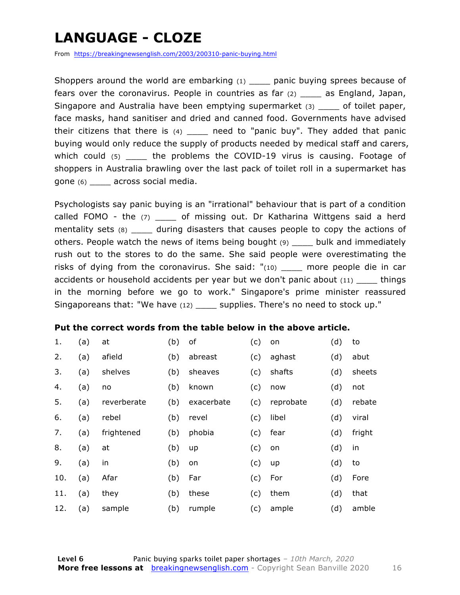### **LANGUAGE - CLOZE**

From https://breakingnewsenglish.com/2003/200310-panic-buying.html

Shoppers around the world are embarking (1) \_\_\_\_\_ panic buying sprees because of fears over the coronavirus. People in countries as far (2) \_\_\_\_ as England, Japan, Singapore and Australia have been emptying supermarket (3) \_\_\_\_ of toilet paper, face masks, hand sanitiser and dried and canned food. Governments have advised their citizens that there is  $(4)$  \_\_\_\_ need to "panic buy". They added that panic buying would only reduce the supply of products needed by medical staff and carers, which could (5) the problems the COVID-19 virus is causing. Footage of shoppers in Australia brawling over the last pack of toilet roll in a supermarket has gone (6) \_\_\_\_ across social media.

Psychologists say panic buying is an "irrational" behaviour that is part of a condition called FOMO - the  $(7)$  \_\_\_\_ of missing out. Dr Katharina Wittgens said a herd mentality sets (8) during disasters that causes people to copy the actions of others. People watch the news of items being bought (9) \_\_\_\_ bulk and immediately rush out to the stores to do the same. She said people were overestimating the risks of dying from the coronavirus. She said:  $"(10)$  more people die in car accidents or household accidents per year but we don't panic about  $(11)$  things in the morning before we go to work." Singapore's prime minister reassured Singaporeans that: "We have (12) \_\_\_\_ supplies. There's no need to stock up."

#### **Put the correct words from the table below in the above article.**

| 1.  | (a) | at          | (b) | of         | (c) | on        | (d) | to     |
|-----|-----|-------------|-----|------------|-----|-----------|-----|--------|
| 2.  | (a) | afield      | (b) | abreast    | (c) | aghast    | (d) | abut   |
| 3.  | (a) | shelves     | (b) | sheaves    | (c) | shafts    | (d) | sheets |
| 4.  | (a) | no          | (b) | known      | (c) | now       | (d) | not    |
| 5.  | (a) | reverberate | (b) | exacerbate | (c) | reprobate | (d) | rebate |
| 6.  | (a) | rebel       | (b) | revel      | (c) | libel     | (d) | viral  |
| 7.  | (a) | frightened  | (b) | phobia     | (c) | fear      | (d) | fright |
| 8.  | (a) | at          | (b) | up         | (c) | on        | (d) | in     |
| 9.  | (a) | in          | (b) | on         | (c) | up        | (d) | to     |
| 10. | (a) | Afar        | (b) | Far        | (c) | For       | (d) | Fore   |
| 11. | (a) | they        | (b) | these      | (c) | them      | (d) | that   |
| 12. | (a) | sample      | (b) | rumple     | (c) | ample     | (d) | amble  |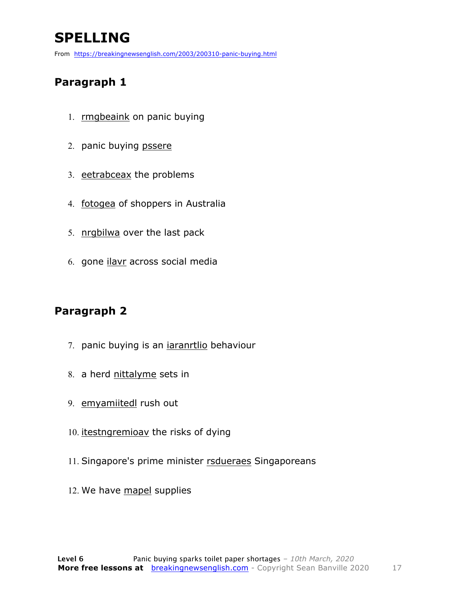### **SPELLING**

From https://breakingnewsenglish.com/2003/200310-panic-buying.html

#### **Paragraph 1**

- 1. **rmgbeaink** on panic buying
- 2. panic buying pssere
- 3. eetrabceax the problems
- 4. fotogea of shoppers in Australia
- 5. nrgbilwa over the last pack
- 6. gone ilavr across social media

#### **Paragraph 2**

- 7. panic buying is an *iaranrtlio* behaviour
- 8. a herd nittalyme sets in
- 9. emyamiitedl rush out
- 10. *itestngremioav* the risks of dying
- 11. Singapore's prime minister rsdueraes Singaporeans
- 12. We have mapel supplies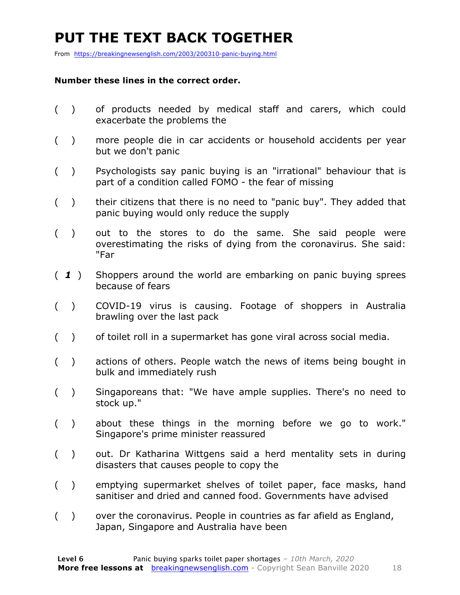### **PUT THE TEXT BACK TOGETHER**

From https://breakingnewsenglish.com/2003/200310-panic-buying.html

#### **Number these lines in the correct order.**

- ( ) of products needed by medical staff and carers, which could exacerbate the problems the
- ( ) more people die in car accidents or household accidents per year but we don't panic
- ( ) Psychologists say panic buying is an "irrational" behaviour that is part of a condition called FOMO - the fear of missing
- ( ) their citizens that there is no need to "panic buy". They added that panic buying would only reduce the supply
- ( ) out to the stores to do the same. She said people were overestimating the risks of dying from the coronavirus. She said: "Far
- ( *1* ) Shoppers around the world are embarking on panic buying sprees because of fears
- ( ) COVID-19 virus is causing. Footage of shoppers in Australia brawling over the last pack
- ( ) of toilet roll in a supermarket has gone viral across social media.
- ( ) actions of others. People watch the news of items being bought in bulk and immediately rush
- ( ) Singaporeans that: "We have ample supplies. There's no need to stock up."
- ( ) about these things in the morning before we go to work." Singapore's prime minister reassured
- ( ) out. Dr Katharina Wittgens said a herd mentality sets in during disasters that causes people to copy the
- ( ) emptying supermarket shelves of toilet paper, face masks, hand sanitiser and dried and canned food. Governments have advised
- ( ) over the coronavirus. People in countries as far afield as England, Japan, Singapore and Australia have been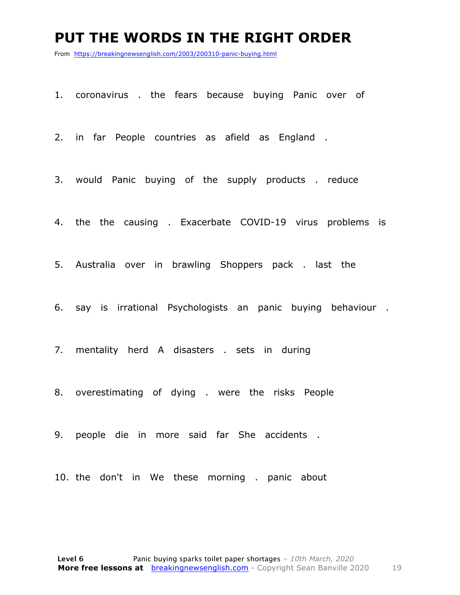#### **PUT THE WORDS IN THE RIGHT ORDER**

From https://breakingnewsenglish.com/2003/200310-panic-buying.html

1. coronavirus . the fears because buying Panic over of

2. in far People countries as afield as England .

3. would Panic buying of the supply products . reduce

4. the the causing . Exacerbate COVID-19 virus problems is

5. Australia over in brawling Shoppers pack . last the

6. say is irrational Psychologists an panic buying behaviour .

7. mentality herd A disasters . sets in during

8. overestimating of dying . were the risks People

9. people die in more said far She accidents .

10. the don't in We these morning . panic about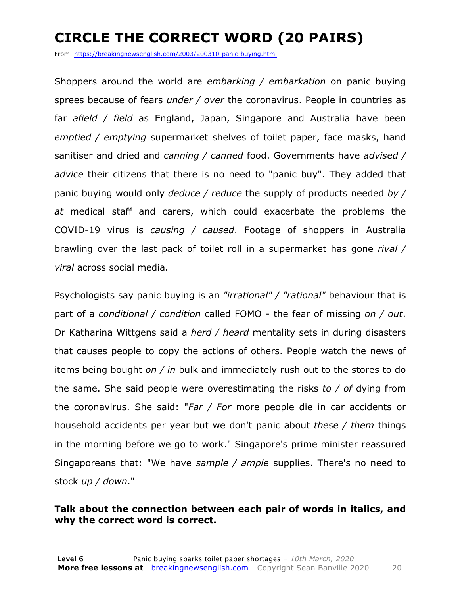### **CIRCLE THE CORRECT WORD (20 PAIRS)**

From https://breakingnewsenglish.com/2003/200310-panic-buying.html

Shoppers around the world are *embarking / embarkation* on panic buying sprees because of fears *under / over* the coronavirus. People in countries as far *afield / field* as England, Japan, Singapore and Australia have been *emptied / emptying* supermarket shelves of toilet paper, face masks, hand sanitiser and dried and *canning / canned* food. Governments have *advised / advice* their citizens that there is no need to "panic buy". They added that panic buying would only *deduce / reduce* the supply of products needed *by / at* medical staff and carers, which could exacerbate the problems the COVID-19 virus is *causing / caused*. Footage of shoppers in Australia brawling over the last pack of toilet roll in a supermarket has gone *rival / viral* across social media.

Psychologists say panic buying is an *"irrational" / "rational"* behaviour that is part of a *conditional / condition* called FOMO - the fear of missing *on / out*. Dr Katharina Wittgens said a *herd / heard* mentality sets in during disasters that causes people to copy the actions of others. People watch the news of items being bought *on / in* bulk and immediately rush out to the stores to do the same. She said people were overestimating the risks *to / of* dying from the coronavirus. She said: "*Far / For* more people die in car accidents or household accidents per year but we don't panic about *these / them* things in the morning before we go to work." Singapore's prime minister reassured Singaporeans that: "We have *sample / ample* supplies. There's no need to stock *up / down*."

#### **Talk about the connection between each pair of words in italics, and why the correct word is correct.**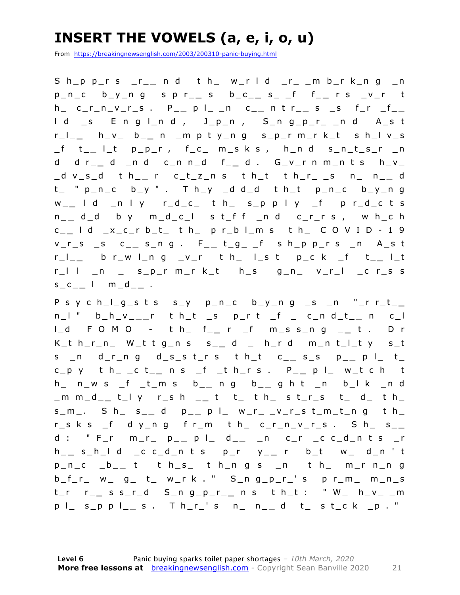### **INSERT THE VOWELS (a, e, i, o, u)**

From https://breakingnewsenglish.com/2003/200310-panic-buying.html

S h\_p p\_r s \_r\_ **\_** n d t h\_ w\_r l d \_r\_ \_m b\_r k\_n g \_n p\_n\_c b\_y\_n g s p r\_ **\_** s b\_c\_ **\_** s\_ \_f f\_ **\_** r s \_v\_r t h\_ c\_r\_n\_v\_r\_s . P\_ **\_** p l\_ \_n c\_ **\_** n t r\_ **\_** s \_s f\_r \_f\_ **\_**  l d \_s E n g l\_n d , J\_p\_n , S\_n g\_p\_r\_ \_ n d A\_s t r\_l\_ **\_** h\_v\_ b\_ **\_** n \_m p t y\_n g s\_p\_r m\_r k\_t s h\_l v\_s \_f t\_ **\_** l\_t p\_p\_r , f\_c\_ m\_s k s , h\_n d s\_n\_t\_s\_r \_n d d r\_ **\_** d \_n d c\_n n\_d f\_ **\_** d . G\_v\_r n m\_n t s h\_v\_ \_d v\_s\_d t h\_ **\_** r c\_t\_z\_n s t h\_t t h\_r\_ \_s n\_ n\_ **\_** d  $t_{-}$  "  $p_{-}n_{-}c$  b<sub>-</sub>y " . T h<sub>-</sub>y  $-d$  d<sub>-</sub>d t h<sub>-</sub>t p<sub>-</sub>n<sub>-</sub>c b<sub>-</sub>y<sub>-</sub>n g w \_ **\_** l d \_n l y r\_d\_c\_ t h\_ s\_p p l y \_f p r\_d\_c t s n \_ **\_** d\_d b y m\_d\_c\_l s t\_f f \_n d c\_r\_r s , w h\_c h c \_ **\_** l d \_x\_c\_r b\_t\_ t h\_ p r\_b l\_m s t h\_ C O V I D - 1 9 v\_r\_s \_s c\_ **\_** s\_n g . F\_ **\_** t\_g\_ \_f s h\_p p\_r s \_n A\_s t r\_l\_ **\_** b r\_w l\_n g \_v\_r t h\_ l\_s t p\_c k \_f t\_ **\_** l\_t r\_l l \_n \_ s\_p\_r m\_r k\_t h\_s g\_n\_ v\_r\_l \_c r\_s s  $s_c = 1$  m\_d\_\_.

P s y c h\_l\_g\_s t s s\_y p\_n\_c b\_y\_n g \_s \_n "\_r r\_t\_ **\_**  n\_l " b\_h\_v\_ **\_ \_** r t h\_t \_s p\_r t \_f \_ c\_n d\_t\_ **\_** n c\_l l\_d F O M O - t h\_ f\_ **\_** r \_f m\_s s\_n g \_ **\_** t . D r  $K_t$  h\_r\_n\_ W\_t t g\_n s s\_\_ d \_ h\_r d m\_n t\_l\_t y s\_t s \_n d\_r\_n g d\_s\_s t\_r s t h\_t c \_ **\_** s\_s p\_ **\_** p l\_ t\_ c\_p y t h\_ \_c t\_ **\_** n s \_f \_t h\_r s . P\_ **\_** p l\_ w\_t c h t h\_ n\_w s \_f \_t\_m s b\_ **\_** n g b\_ **\_** g h t \_n b\_l k \_n d \_m m\_d\_ **\_** t\_l y r\_s h \_ **\_** t t\_ t h\_ s t\_r\_s t\_ d\_ t h\_ s\_m\_. S h\_ s\_ **\_** d p\_ **\_** p l\_ w\_r\_ \_v\_r\_s t\_m\_t\_n g t h\_  $r_s$  k s  $_f$  d y\_n g f r\_m t h\_ c\_r\_n\_v\_r\_s . S h\_ s\_\_ d : " F\_r m\_r\_ p\_ **\_** p l\_ d\_ **\_** \_n c\_r \_c c\_d\_n t s \_r h \_ **\_** s\_h\_l d \_c c\_d\_n t s p\_r y\_ **\_** r b\_t w\_ d\_n ' t p\_n\_c \_b\_ **\_** t t h\_s\_ t h\_n g s \_n t h\_ m\_r n\_n g  $b_f_r$  w\_ g\_ t\_ w\_r k . " S\_n g\_p\_r\_' s p r\_m\_ m\_n\_s t\_r r\_ **\_** s s\_r\_d S\_n g\_p\_r\_ **\_** n s t h\_t : " W\_ h\_v\_ \_m p l\_ s\_p p l\_ **\_** s . T h\_r\_' s n\_ n\_ **\_** d t\_ s t\_c k \_p . "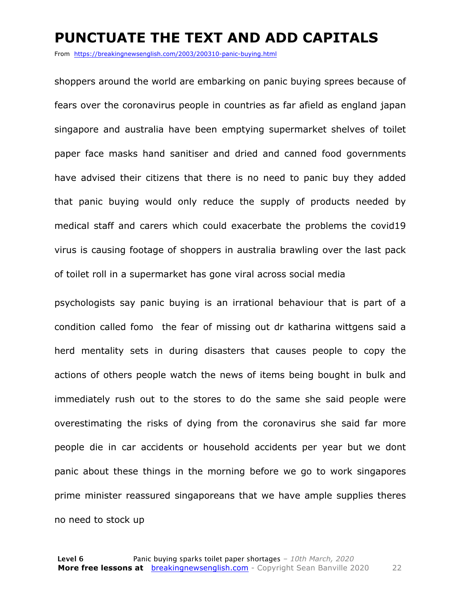#### **PUNCTUATE THE TEXT AND ADD CAPITALS**

From https://breakingnewsenglish.com/2003/200310-panic-buying.html

shoppers around the world are embarking on panic buying sprees because of fears over the coronavirus people in countries as far afield as england japan singapore and australia have been emptying supermarket shelves of toilet paper face masks hand sanitiser and dried and canned food governments have advised their citizens that there is no need to panic buy they added that panic buying would only reduce the supply of products needed by medical staff and carers which could exacerbate the problems the covid19 virus is causing footage of shoppers in australia brawling over the last pack of toilet roll in a supermarket has gone viral across social media

psychologists say panic buying is an irrational behaviour that is part of a condition called fomo the fear of missing out dr katharina wittgens said a herd mentality sets in during disasters that causes people to copy the actions of others people watch the news of items being bought in bulk and immediately rush out to the stores to do the same she said people were overestimating the risks of dying from the coronavirus she said far more people die in car accidents or household accidents per year but we dont panic about these things in the morning before we go to work singapores prime minister reassured singaporeans that we have ample supplies theres no need to stock up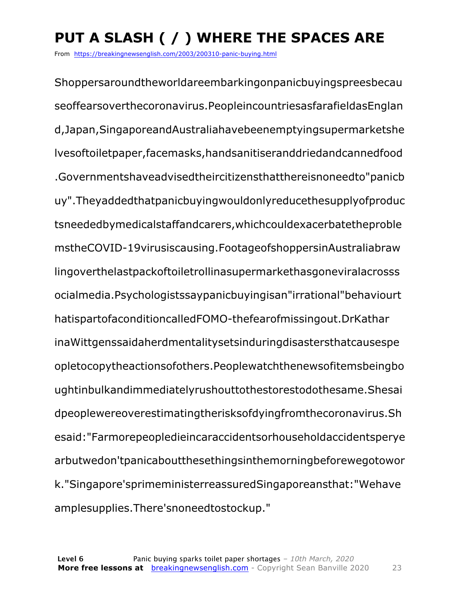### **PUT A SLASH ( / ) WHERE THE SPACES ARE**

From https://breakingnewsenglish.com/2003/200310-panic-buying.html

Shoppersaroundtheworldareembarkingonpanicbuyingspreesbecau seoffearsoverthecoronavirus.PeopleincountriesasfarafieldasEnglan d,Japan,SingaporeandAustraliahavebeenemptyingsupermarketshe lvesoftoiletpaper,facemasks,handsanitiseranddriedandcannedfood .Governmentshaveadvisedtheircitizensthatthereisnoneedto"panicb uy".Theyaddedthatpanicbuyingwouldonlyreducethesupplyofproduc tsneededbymedicalstaffandcarers,whichcouldexacerbatetheproble mstheCOVID-19virusiscausing.FootageofshoppersinAustraliabraw lingoverthelastpackoftoiletrollinasupermarkethasgoneviralacrosss ocialmedia.Psychologistssaypanicbuyingisan"irrational"behaviourt hatispartofaconditioncalledFOMO-thefearofmissingout.DrKathar inaWittgenssaidaherdmentalitysetsinduringdisastersthatcausespe opletocopytheactionsofothers.Peoplewatchthenewsofitemsbeingbo ughtinbulkandimmediatelyrushouttothestorestodothesame.Shesai dpeoplewereoverestimatingtherisksofdyingfromthecoronavirus.Sh esaid:"Farmorepeopledieincaraccidentsorhouseholdaccidentsperye arbutwedon'tpanicaboutthesethingsinthemorningbeforewegotowor k."Singapore'sprimeministerreassuredSingaporeansthat:"Wehave amplesupplies.There'snoneedtostockup."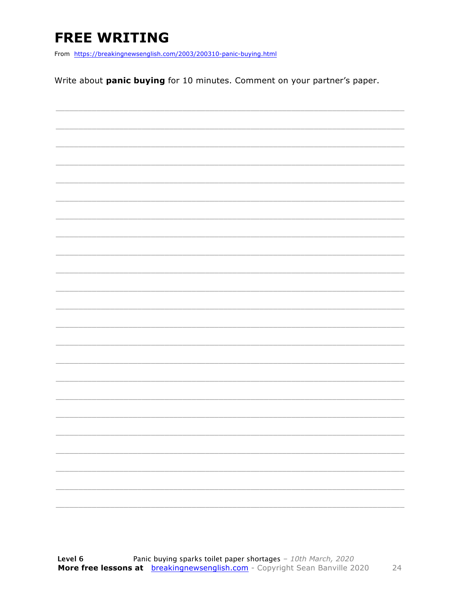### **FREE WRITING**

From https://breakingnewsenglish.com/2003/200310-panic-buying.html

Write about panic buying for 10 minutes. Comment on your partner's paper.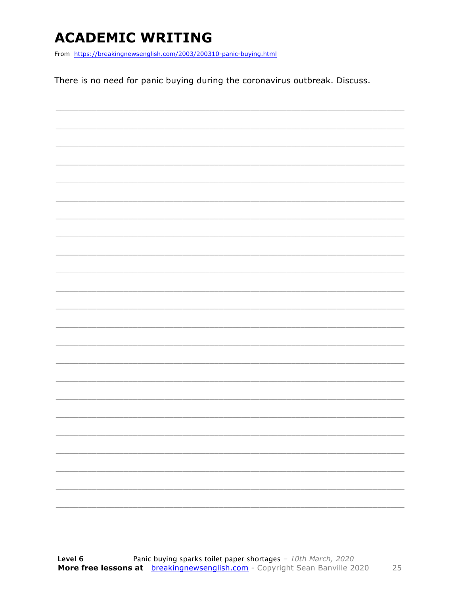### **ACADEMIC WRITING**

From https://breakingnewsenglish.com/2003/200310-panic-buying.html

There is no need for panic buying during the coronavirus outbreak. Discuss.

| $\overline{\phantom{a}}$ |  | ________ |
|--------------------------|--|----------|
|                          |  |          |
| $\overline{\phantom{a}}$ |  |          |
|                          |  |          |
|                          |  |          |
|                          |  |          |
| $\overline{\phantom{a}}$ |  |          |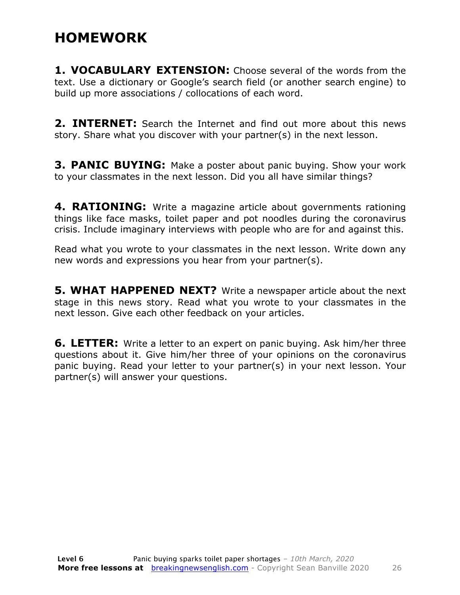#### **HOMEWORK**

**1. VOCABULARY EXTENSION:** Choose several of the words from the text. Use a dictionary or Google's search field (or another search engine) to build up more associations / collocations of each word.

**2. INTERNET:** Search the Internet and find out more about this news story. Share what you discover with your partner(s) in the next lesson.

**3. PANIC BUYING:** Make a poster about panic buying. Show your work to your classmates in the next lesson. Did you all have similar things?

**4. RATIONING:** Write a magazine article about governments rationing things like face masks, toilet paper and pot noodles during the coronavirus crisis. Include imaginary interviews with people who are for and against this.

Read what you wrote to your classmates in the next lesson. Write down any new words and expressions you hear from your partner(s).

**5. WHAT HAPPENED NEXT?** Write a newspaper article about the next stage in this news story. Read what you wrote to your classmates in the next lesson. Give each other feedback on your articles.

**6. LETTER:** Write a letter to an expert on panic buying. Ask him/her three questions about it. Give him/her three of your opinions on the coronavirus panic buying. Read your letter to your partner(s) in your next lesson. Your partner(s) will answer your questions.